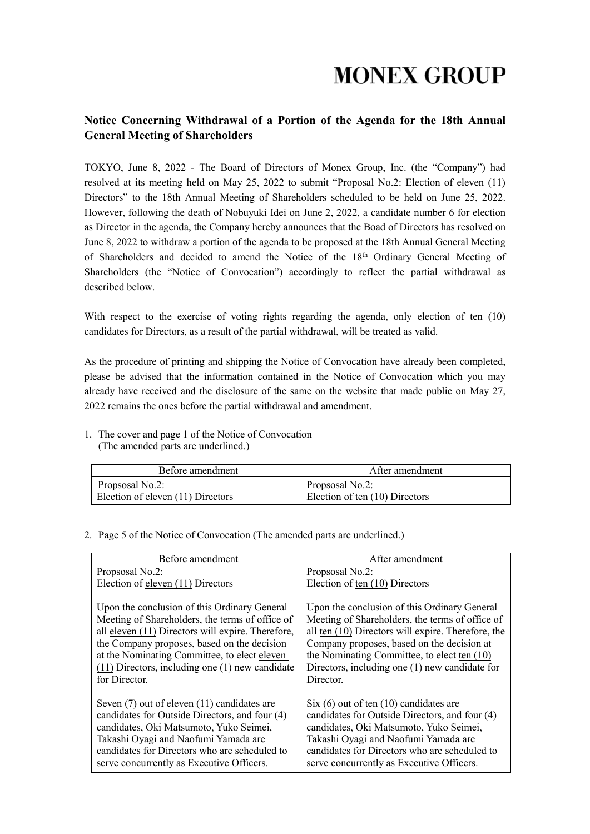### **Notice Concerning Withdrawal of a Portion of the Agenda for the 18th Annual General Meeting of Shareholders**

TOKYO, June 8, 2022 - The Board of Directors of Monex Group, Inc. (the "Company") had resolved at its meeting held on May 25, 2022 to submit "Proposal No.2: Election of eleven (11) Directors" to the 18th Annual Meeting of Shareholders scheduled to be held on June 25, 2022. However, following the death of Nobuyuki Idei on June 2, 2022, a candidate number 6 for election as Director in the agenda, the Company hereby announces that the Boad of Directors has resolved on June 8, 2022 to withdraw a portion of the agenda to be proposed at the 18th Annual General Meeting of Shareholders and decided to amend the Notice of the 18<sup>th</sup> Ordinary General Meeting of Shareholders (the "Notice of Convocation") accordingly to reflect the partial withdrawal as described below.

With respect to the exercise of voting rights regarding the agenda, only election of ten (10) candidates for Directors, as a result of the partial withdrawal, will be treated as valid.

As the procedure of printing and shipping the Notice of Convocation have already been completed, please be advised that the information contained in the Notice of Convocation which you may already have received and the disclosure of the same on the website that made public on May 27, 2022 remains the ones before the partial withdrawal and amendment.

1. The cover and page 1 of the Notice of Convocation (The amended parts are underlined.)

| Before amendment                  | A fter amendment               |
|-----------------------------------|--------------------------------|
| Propsosal No.2:                   | Propsosal No.2:                |
| Election of eleven (11) Directors | Election of ten (10) Directors |

### 2. Page 5 of the Notice of Convocation (The amended parts are underlined.)

| Before amendment                                                                                                                                                                                                                                                                                                            | After amendment                                                                                                                                                                                                                                                                                                     |
|-----------------------------------------------------------------------------------------------------------------------------------------------------------------------------------------------------------------------------------------------------------------------------------------------------------------------------|---------------------------------------------------------------------------------------------------------------------------------------------------------------------------------------------------------------------------------------------------------------------------------------------------------------------|
| Propsosal No.2:                                                                                                                                                                                                                                                                                                             | Propsosal No.2:                                                                                                                                                                                                                                                                                                     |
| Election of eleven (11) Directors                                                                                                                                                                                                                                                                                           | Election of ten $(10)$ Directors                                                                                                                                                                                                                                                                                    |
| Upon the conclusion of this Ordinary General<br>Meeting of Shareholders, the terms of office of<br>all eleven (11) Directors will expire. Therefore,<br>the Company proposes, based on the decision<br>at the Nominating Committee, to elect eleven<br>$(11)$ Directors, including one $(1)$ new candidate<br>for Director. | Upon the conclusion of this Ordinary General<br>Meeting of Shareholders, the terms of office of<br>all ten $(10)$ Directors will expire. Therefore, the<br>Company proposes, based on the decision at<br>the Nominating Committee, to elect ten (10)<br>Directors, including one (1) new candidate for<br>Director. |
| Seven $(7)$ out of eleven $(11)$ candidates are<br>candidates for Outside Directors, and four (4)<br>candidates, Oki Matsumoto, Yuko Seimei,<br>Takashi Oyagi and Naofumi Yamada are<br>candidates for Directors who are scheduled to<br>serve concurrently as Executive Officers.                                          | $Six(6)$ out of ten $(10)$ candidates are<br>candidates for Outside Directors, and four (4)<br>candidates, Oki Matsumoto, Yuko Seimei,<br>Takashi Oyagi and Naofumi Yamada are<br>candidates for Directors who are scheduled to<br>serve concurrently as Executive Officers.                                        |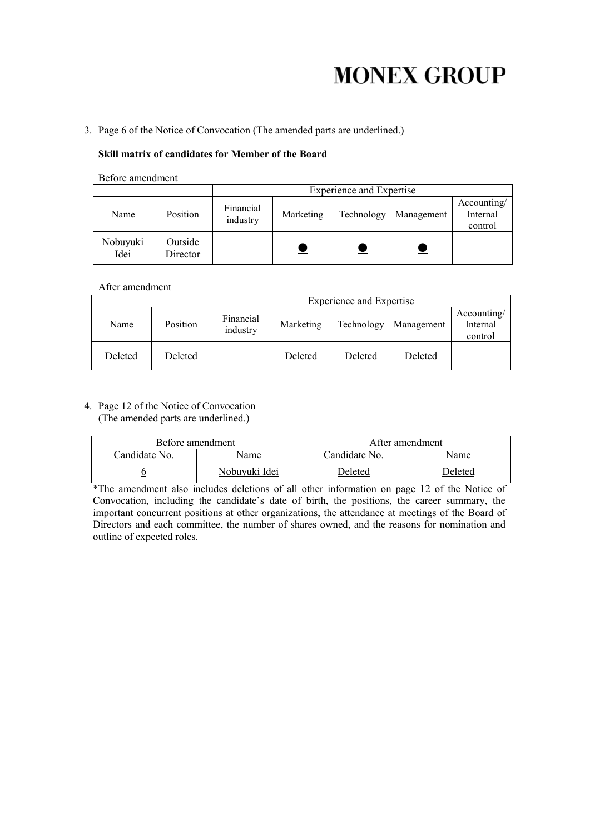# **MONEX GROUP**

3. Page 6 of the Notice of Convocation (The amended parts are underlined.)

### **Skill matrix of candidates for Member of the Board**

Before amendment

|                  |                     | <b>Experience and Expertise</b> |           |            |            |                                    |
|------------------|---------------------|---------------------------------|-----------|------------|------------|------------------------------------|
| Name             | Position            | Financial<br>industry           | Marketing | Technology | Management | Accounting/<br>Internal<br>control |
| Nobuyuki<br>Idei | Outside<br>Director |                                 |           |            |            |                                    |

After amendment

|         |          | <b>Experience and Expertise</b> |           |            |            |                                    |
|---------|----------|---------------------------------|-----------|------------|------------|------------------------------------|
| Name    | Position | Financial<br>industry           | Marketing | Technology | Management | Accounting/<br>Internal<br>control |
| Deleted | Deleted  |                                 | Deleted   | Deleted    | Deleted    |                                    |

4. Page 12 of the Notice of Convocation (The amended parts are underlined.)

|               | Before amendment | After amendment |         |  |
|---------------|------------------|-----------------|---------|--|
| Candidate No. | Name             | Candidate No.   | Name    |  |
|               | Nobuvuki Idei    | <b>Deleted</b>  | Deleted |  |

\*The amendment also includes deletions of all other information on page 12 of the Notice of Convocation, including the candidate's date of birth, the positions, the career summary, the important concurrent positions at other organizations, the attendance at meetings of the Board of Directors and each committee, the number of shares owned, and the reasons for nomination and outline of expected roles.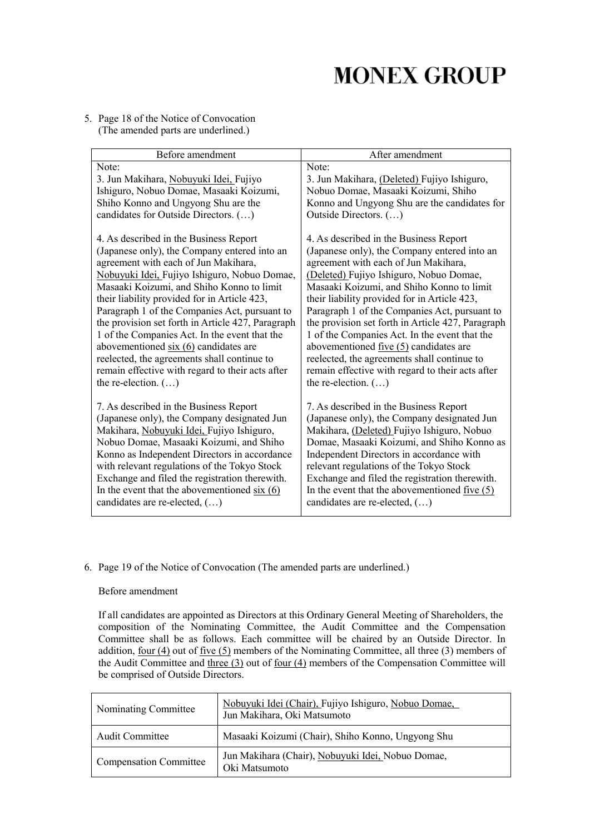## **MONEX GROUP**

### 5. Page 18 of the Notice of Convocation (The amended parts are underlined.)

| Before amendment                                                                                   | After amendment                                                                                    |
|----------------------------------------------------------------------------------------------------|----------------------------------------------------------------------------------------------------|
| Note:                                                                                              | Note:                                                                                              |
| 3. Jun Makihara, Nobuyuki Idei, Fujiyo<br>Ishiguro, Nobuo Domae, Masaaki Koizumi,                  | 3. Jun Makihara, (Deleted) Fujiyo Ishiguro,<br>Nobuo Domae, Masaaki Koizumi, Shiho                 |
| Shiho Konno and Ungyong Shu are the                                                                | Konno and Ungyong Shu are the candidates for                                                       |
| candidates for Outside Directors. ()                                                               | Outside Directors. ()                                                                              |
| 4. As described in the Business Report                                                             | 4. As described in the Business Report                                                             |
| (Japanese only), the Company entered into an                                                       | (Japanese only), the Company entered into an                                                       |
| agreement with each of Jun Makihara,                                                               | agreement with each of Jun Makihara,                                                               |
| Nobuyuki Idei, Fujiyo Ishiguro, Nobuo Domae,                                                       | (Deleted) Fujiyo Ishiguro, Nobuo Domae,                                                            |
| Masaaki Koizumi, and Shiho Konno to limit                                                          | Masaaki Koizumi, and Shiho Konno to limit                                                          |
| their liability provided for in Article 423,                                                       | their liability provided for in Article 423,                                                       |
| Paragraph 1 of the Companies Act, pursuant to                                                      | Paragraph 1 of the Companies Act, pursuant to                                                      |
| the provision set forth in Article 427, Paragraph<br>1 of the Companies Act. In the event that the | the provision set forth in Article 427, Paragraph<br>1 of the Companies Act. In the event that the |
| abovementioned $\frac{\sin(6)}{6}$ candidates are                                                  | abovementioned $five(5)$ candidates are                                                            |
| reelected, the agreements shall continue to                                                        | reelected, the agreements shall continue to                                                        |
| remain effective with regard to their acts after                                                   | remain effective with regard to their acts after                                                   |
| the re-election. $(\ldots)$                                                                        | the re-election. $(\ldots)$                                                                        |
|                                                                                                    |                                                                                                    |
| 7. As described in the Business Report                                                             | 7. As described in the Business Report                                                             |
| (Japanese only), the Company designated Jun<br>Makihara, Nobuyuki Idei, Fujiyo Ishiguro,           | (Japanese only), the Company designated Jun<br>Makihara, (Deleted) Fujiyo Ishiguro, Nobuo          |
| Nobuo Domae, Masaaki Koizumi, and Shiho                                                            | Domae, Masaaki Koizumi, and Shiho Konno as                                                         |
| Konno as Independent Directors in accordance                                                       | Independent Directors in accordance with                                                           |
| with relevant regulations of the Tokyo Stock                                                       | relevant regulations of the Tokyo Stock                                                            |
| Exchange and filed the registration therewith.                                                     | Exchange and filed the registration therewith.                                                     |
| In the event that the above mentioned six $(6)$                                                    | In the event that the abovementioned five $(5)$                                                    |
| candidates are re-elected, ()                                                                      | candidates are re-elected, ()                                                                      |

### 6. Page 19 of the Notice of Convocation (The amended parts are underlined.)

#### Before amendment

If all candidates are appointed as Directors at this Ordinary General Meeting of Shareholders, the composition of the Nominating Committee, the Audit Committee and the Compensation Committee shall be as follows. Each committee will be chaired by an Outside Director. In addition, four  $(4)$  out of five  $(5)$  members of the Nominating Committee, all three  $(3)$  members of the Audit Committee and three  $(3)$  out of four  $(4)$  members of the Compensation Committee will be comprised of Outside Directors.

| Nominating Committee          | Nobuyuki Idei (Chair), Fujiyo Ishiguro, Nobuo Domae,<br>Jun Makihara, Oki Matsumoto |
|-------------------------------|-------------------------------------------------------------------------------------|
| Audit Committee               | Masaaki Koizumi (Chair), Shiho Konno, Ungyong Shu                                   |
| <b>Compensation Committee</b> | Jun Makihara (Chair), Nobuyuki Idei, Nobuo Domae,<br>Oki Matsumoto                  |